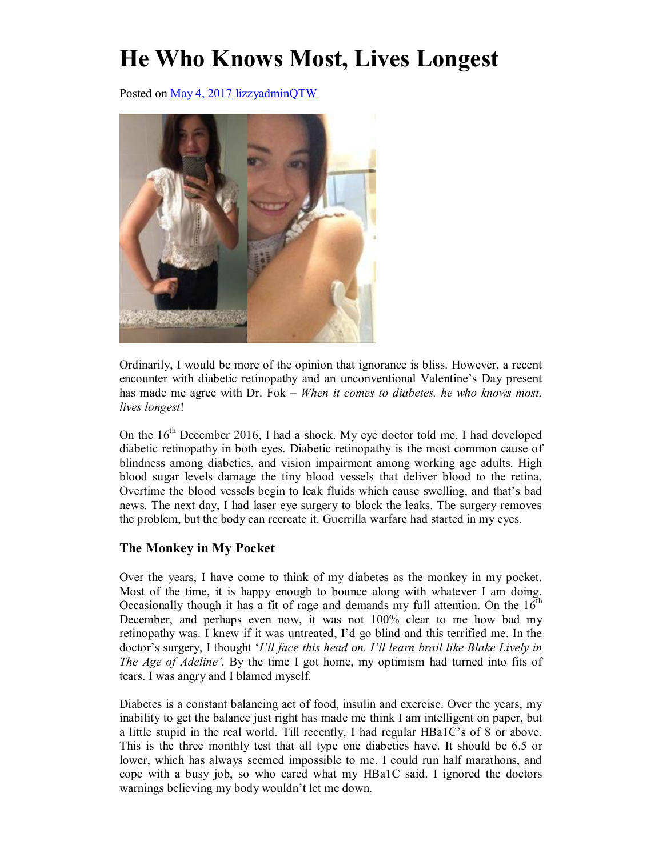## **He Who Knows Most, Lives Longest**

Posted on May 4, 2017 lizzyadminQTW



Ordinarily, I would be more of the opinion that ignorance is bliss. However, a recent encounter with diabetic retinopathy and an unconventional Valentine's Day present has made me agree with Dr. Fok – *When it comes to diabetes, he who knows most, lives longest*!

On the  $16<sup>th</sup>$  December 2016, I had a shock. My eye doctor told me, I had developed diabetic retinopathy in both eyes. Diabetic retinopathy is the most common cause of blindness among diabetics, and vision impairment among working age adults. High blood sugar levels damage the tiny blood vessels that deliver blood to the retina. Overtime the blood vessels begin to leak fluids which cause swelling, and that's bad news. The next day, I had laser eye surgery to block the leaks. The surgery removes the problem, but the body can recreate it. Guerrilla warfare had started in my eyes.

## **The Monkey in My Pocket**

Over the years, I have come to think of my diabetes as the monkey in my pocket. Most of the time, it is happy enough to bounce along with whatever I am doing. Occasionally though it has a fit of rage and demands my full attention. On the  $16<sup>th</sup>$ December, and perhaps even now, it was not 100% clear to me how bad my retinopathy was. I knew if it was untreated, I'd go blind and this terrified me. In the doctor's surgery, I thought '*I'll face this head on. I'll learn brail like Blake Lively in The Age of Adeline'*. By the time I got home, my optimism had turned into fits of tears. I was angry and I blamed myself.

Diabetes is a constant balancing act of food, insulin and exercise. Over the years, my inability to get the balance just right has made me think I am intelligent on paper, but a little stupid in the real world. Till recently, I had regular HBa1C's of 8 or above. This is the three monthly test that all type one diabetics have. It should be 6.5 or lower, which has always seemed impossible to me. I could run half marathons, and cope with a busy job, so who cared what my HBa1C said. I ignored the doctors warnings believing my body wouldn't let me down.